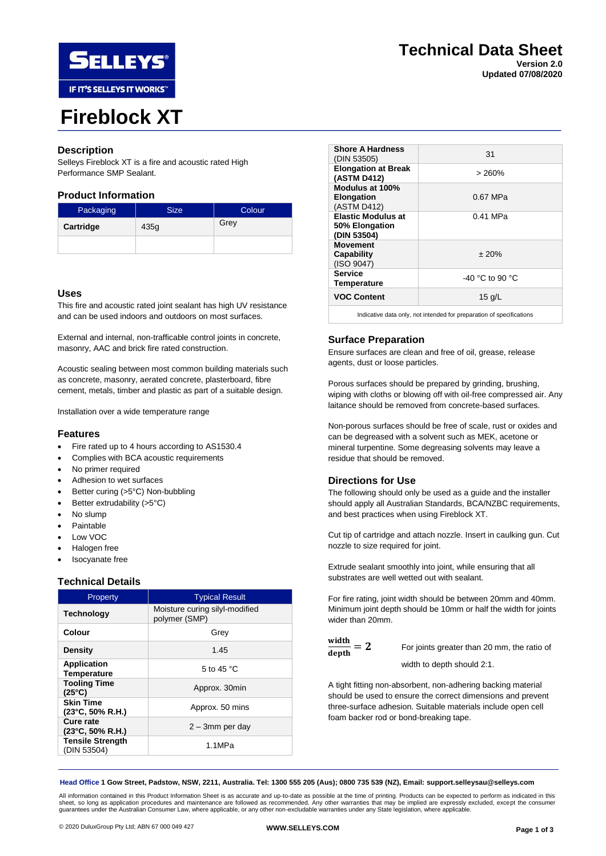

# **Fireblock XT**

## **Description**

Selleys Fireblock XT is a fire and acoustic rated High Performance SMP Sealant.

## **Product Information**

| Packaging | <b>Size</b> | Colour |
|-----------|-------------|--------|
| Cartridge | 435g        | Grey   |
|           |             |        |

### **Uses**

This fire and acoustic rated joint sealant has high UV resistance and can be used indoors and outdoors on most surfaces.

External and internal, non-trafficable control joints in concrete, masonry, AAC and brick fire rated construction.

Acoustic sealing between most common building materials such as concrete, masonry, aerated concrete, plasterboard, fibre cement, metals, timber and plastic as part of a suitable design.

Installation over a wide temperature range

#### **Features**

- Fire rated up to 4 hours according to AS1530.4
- Complies with BCA acoustic requirements
- No primer required
- Adhesion to wet surfaces
- Better curing (>5°C) Non-bubbling
- Better extrudability (>5°C)
- No slump
- **Paintable**
- Low VOC
- Halogen free
- Isocyanate free

#### **Technical Details**

| Property                                       | <b>Typical Result</b>                           |  |
|------------------------------------------------|-------------------------------------------------|--|
| <b>Technology</b>                              | Moisture curing silyl-modified<br>polymer (SMP) |  |
| Colour                                         | Grey                                            |  |
| <b>Density</b>                                 | 1.45                                            |  |
| <b>Application</b><br><b>Temperature</b>       | 5 to 45 $^{\circ}$ C                            |  |
| <b>Tooling Time</b><br>$(25^{\circ}C)$         | Approx. 30min                                   |  |
| <b>Skin Time</b><br>$(23^{\circ}C, 50\% R.H.)$ | Approx. 50 mins                                 |  |
| Cure rate<br>$(23^{\circ}C, 50\%$ R.H.)        | $2 - 3$ mm per day                              |  |
| <b>Tensile Strength</b><br>(DIN 53504)         | 1.1MPa                                          |  |

| <b>Shore A Hardness</b><br>(DIN 53505)                               | 31                |  |  |
|----------------------------------------------------------------------|-------------------|--|--|
| <b>Elongation at Break</b><br>(ASTM D412)                            | > 260%            |  |  |
| Modulus at 100%<br><b>Elongation</b><br>(ASTM D412)                  | 0.67 MPa          |  |  |
| <b>Elastic Modulus at</b><br>50% Elongation<br>(DIN 53504)           | 0.41 MPa          |  |  |
| <b>Movement</b><br>Capability<br>(ISO 9047)                          | ± 20%             |  |  |
| <b>Service</b><br>Temperature                                        | $-40$ °C to 90 °C |  |  |
| <b>VOC Content</b>                                                   | 15 $q/L$          |  |  |
| Indicative data only, not intended for preparation of specifications |                   |  |  |

### **Surface Preparation**

Ensure surfaces are clean and free of oil, grease, release agents, dust or loose particles.

Porous surfaces should be prepared by grinding, brushing, wiping with cloths or blowing off with oil-free compressed air. Any laitance should be removed from concrete-based surfaces.

Non-porous surfaces should be free of scale, rust or oxides and can be degreased with a solvent such as MEK, acetone or mineral turpentine. Some degreasing solvents may leave a residue that should be removed.

#### **Directions for Use**

The following should only be used as a guide and the installer should apply all Australian Standards, BCA/NZBC requirements, and best practices when using Fireblock XT.

Cut tip of cartridge and attach nozzle. Insert in caulking gun. Cut nozzle to size required for joint.

Extrude sealant smoothly into joint, while ensuring that all substrates are well wetted out with sealant.

For fire rating, joint width should be between 20mm and 40mm. Minimum joint depth should be 10mm or half the width for joints wider than 20mm.

 $\frac{\text{width}}{\text{width}} = 2$ 

 $\frac{\text{wain}}{\text{depth}}$  = 2 For joints greater than 20 mm, the ratio of width to depth should 2:1.

A tight fitting non-absorbent, non-adhering backing material should be used to ensure the correct dimensions and prevent three-surface adhesion. Suitable materials include open cell foam backer rod or bond-breaking tape.

**Head Office 1 Gow Street, Padstow, NSW, 2211, Australia. Tel: 1300 555 205 (Aus); 0800 735 539 (NZ), Email: support.selleysau@selleys.com**

All information contained in this Product Information Sheet is as accurate and up-to-date as possible at the time of printing. Products can be expected to perform as indicated in this sheet, so long as application procedures and maintenance are followed as recommended. Any other warranties that may be implied are expressly excluded, except the consumer<br>guarantees under the Australian Consumer Law, where

# **Technical Data Sheet Version 2.0**

**Updated 07/08/2020**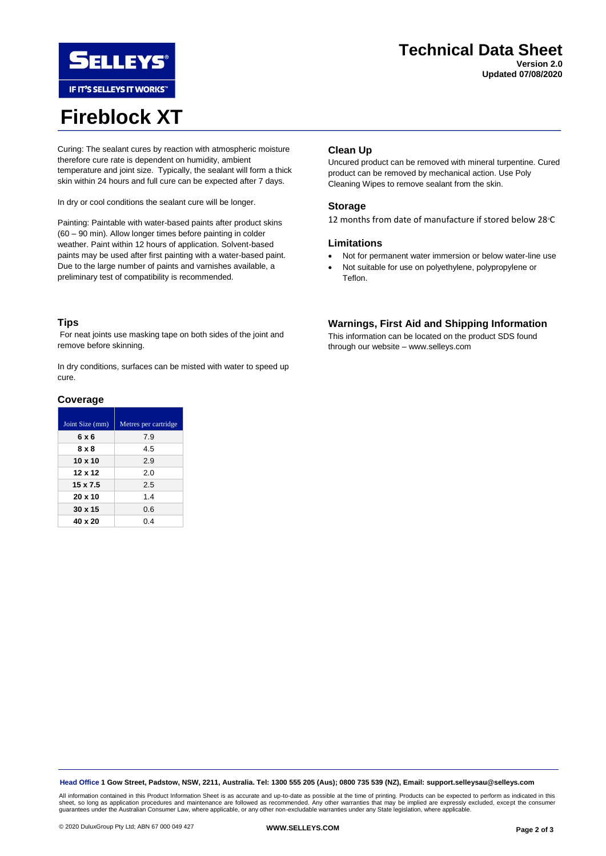

IF IT'S SELLEYS IT WORKS"

# **Fireblock XT**

**Version 2.0 Updated 07/08/2020**

Curing: The sealant cures by reaction with atmospheric moisture therefore cure rate is dependent on humidity, ambient temperature and joint size. Typically, the sealant will form a thick skin within 24 hours and full cure can be expected after 7 days.

In dry or cool conditions the sealant cure will be longer.

Painting: Paintable with water-based paints after product skins (60 – 90 min). Allow longer times before painting in colder weather. Paint within 12 hours of application. Solvent-based paints may be used after first painting with a water-based paint. Due to the large number of paints and varnishes available, a preliminary test of compatibility is recommended.

# **Clean Up**

Uncured product can be removed with mineral turpentine. Cured product can be removed by mechanical action. Use Poly Cleaning Wipes to remove sealant from the skin.

## **Storage**

12 months from date of manufacture if stored below 28 °C

## **Limitations**

- Not for permanent water immersion or below water-line use
- Not suitable for use on polyethylene, polypropylene or Teflon.

## **Tips**

For neat joints use masking tape on both sides of the joint and remove before skinning.

In dry conditions, surfaces can be misted with water to speed up cure.

### **Coverage**

| Joint Size (mm) | Metres per cartridge |
|-----------------|----------------------|
| 6 x 6           | 7.9                  |
| 8 x 8           | 4.5                  |
| $10 \times 10$  | 29                   |
| 12 x 12         | 2.0                  |
| $15 \times 7.5$ | 2.5                  |
| $20 \times 10$  | 1.4                  |
| $30 \times 15$  | 0.6                  |
| 40 x 20         | 0.4                  |

## **Warnings, First Aid and Shipping Information**

This information can be located on the product SDS found through our website – www.selleys.com

**Head Office 1 Gow Street, Padstow, NSW, 2211, Australia. Tel: 1300 555 205 (Aus); 0800 735 539 (NZ), Email: support.selleysau@selleys.com**

All information contained in this Product Information Sheet is as accurate and up-to-date as possible at the time of printing. Products can be expected to perform as indicated in this<br>sheet, so long as application procedur